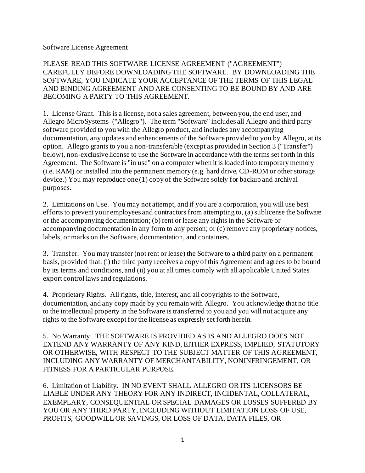Software License Agreement

PLEASE READ THIS SOFTWARE LICENSE AGREEMENT ("AGREEMENT") CAREFULLY BEFORE DOWNLOADING THE SOFTWARE. BY DOWNLOADING THE SOFTWARE, YOU INDICATE YOUR ACCEPTANCE OF THE TERMS OF THIS LEGAL AND BINDING AGREEMENT AND ARE CONSENTING TO BE BOUND BY AND ARE BECOMING A PARTY TO THIS AGREEMENT.

1. License Grant. This is a license, not a sales agreement, between you, the end user, and Allegro MicroSystems ("Allegro"). The term "Software" includes all Allegro and third party software provided to you with the Allegro product, and includes any accompanying documentation, any updates and enhancements of the Software provided to you by Allegro, at its option. Allegro grants to you a non-transferable (except as provided in Section 3 ("Transfer") below), non-exclusive license to use the Software in accordance with the terms set forth in this Agreement. The Software is "in use" on a computer when it is loaded into temporary memory (i.e. RAM) or installed into the permanent memory (e.g. hard drive, CD-ROM or other storage device.) You may reproduce one (1) copy of the Software solely for backup and archival purposes.

2. Limitations on Use. You may not attempt, and if you are a corporation, you will use best efforts to prevent your employees and contractors from attempting to, (a) sublicense the Software or the accompanying documentation; (b) rent or lease any rights in the Software or accompanying documentation in any form to any person; or (c) remove any proprietary notices, labels, or marks on the Software, documentation, and containers.

3. Transfer. You may transfer (not rent or lease) the Software to a third party on a permanent basis, provided that: (i) the third party receives a copy of this Agreement and agrees to be bound by its terms and conditions, and (ii) you at all times comply with all applicable United States export control laws and regulations.

4. Proprietary Rights. All rights, title, interest, and all copyrights to the Software, documentation, and any copy made by you remain with Allegro. You acknowledge that no title to the intellectual property in the Software is transferred to you and you will not acquire any rights to the Software except for the license as expressly set forth herein.

5. No Warranty. THE SOFTWARE IS PROVIDED AS IS AND ALLEGRO DOES NOT EXTEND ANY WARRANTY OF ANY KIND, EITHER EXPRESS, IMPLIED, STATUTORY OR OTHERWISE, WITH RESPECT TO THE SUBJECT MATTER OF THIS AGREEMENT, INCLUDING ANY WARRANTY OF MERCHANTABILITY, NONINFRINGEMENT, OR FITNESS FOR A PARTICULAR PURPOSE.

6. Limitation of Liability. IN NO EVENT SHALL ALLEGRO OR ITS LICENSORS BE LIABLE UNDER ANY THEORY FOR ANY INDIRECT, INCIDENTAL, COLLATERAL, EXEMPLARY, CONSEQUENTIAL OR SPECIAL DAMAGES OR LOSSES SUFFERED BY YOU OR ANY THIRD PARTY, INCLUDING WITHOUT LIMITATION LOSS OF USE, PROFITS, GOODWILL OR SAVINGS, OR LOSS OF DATA, DATA FILES, OR